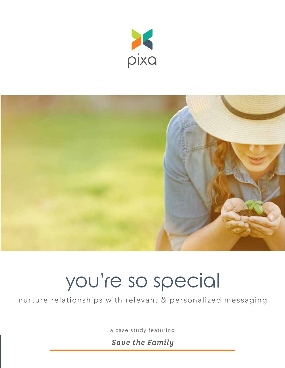



# you're so special

nurture relationships with relevant & personalized messaging

a case study featuring

*Save the Family*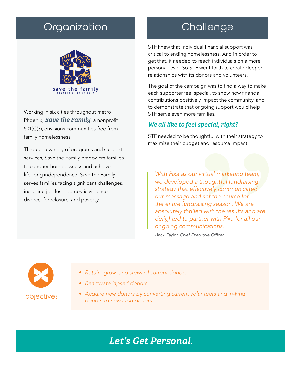# Organization **Challenge**



Working in six cities throughout metro Phoenix, *Save the Family*, a nonprofit 501(c)(3), envisions communities free from family homelessness.

Through a variety of programs and support services, Save the Family empowers families to conquer homelessness and achieve life-long independence. Save the Family serves families facing significant challenges, including job loss, domestic violence, divorce, foreclosure, and poverty.

STF knew that individual financial support was critical to ending homelessness. And in order to get that, it needed to reach individuals on a more personal level. So STF went forth to create deeper relationships with its donors and volunteers.

The goal of the campaign was to find a way to make each supporter feel special, to show how financial contributions positively impact the community, and to demonstrate that ongoing support would help STF serve even more families.

### *We all like to feel special, right?*

STF needed to be thoughtful with their strategy to maximize their budget and resource impact.

*With Pixa as our virtual marketing team, we developed a thoughtful fundraising strategy that effectively communicated our message and set the course for the entire fundraising season. We are absolutely thrilled with the results and are delighted to partner with Pixa for all our ongoing communications.*

-Jacki Taylor, *Chief Executive Officer*



- *• Retain, grow, and steward current donors*
- *• Reactivate lapsed donors*
- *• Acquire new donors by converting current volunteers and in-kind donors to new cash donors*

# *Let's Get Personal.*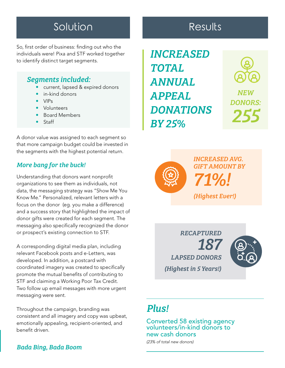# Solution **Results**

So, first order of business: finding out who the individuals were! Pixa and STF worked together to identify distinct target segments.

#### *Segments included:*

- current, lapsed & expired donors
- in-kind donors
- VIPs
- Volunteers
- Board Members
- Staff

A donor value was assigned to each segment so that more campaign budget could be invested in the segments with the highest potential return.

### *More bang for the buck!*

Understanding that donors want nonprofit organizations to see them as individuals, not data, the messaging strategy was "Show Me You Know Me." Personalized, relevant letters with a focus on the donor (eg. you make a difference) and a success story that highlighted the impact of donor gifts were created for each segment. The messaging also specifically recognized the donor or prospect's existing connection to STF.

A corresponding digital media plan, including relevant Facebook posts and e-Letters, was developed. In addition, a postcard with coordinated imagery was created to specifically promote the mutual benefits of contributing to STF and claiming a Working Poor Tax Credit. Two follow up email messages with more urgent messaging were sent.

Throughout the campaign, branding was consistent and all imagery and copy was upbeat, emotionally appealing, recipient-oriented, and benefit driven.

### *Bada Bing, Bada Boom*

*INCREASED TOTAL ANNUAL APPEAL DONATIONS BY 25%*





*INCREASED AVG. GIFT AMOUNT BY 71%!*

*(Highest Ever!)*

*187 LAPSED DONORS (Highest in 5 Years!)*

*RECAPTURED* 



# *Plus!*

Converted 58 existing agency volunteers/in-kind donors to new cash donors

*(23% of total new donors)*